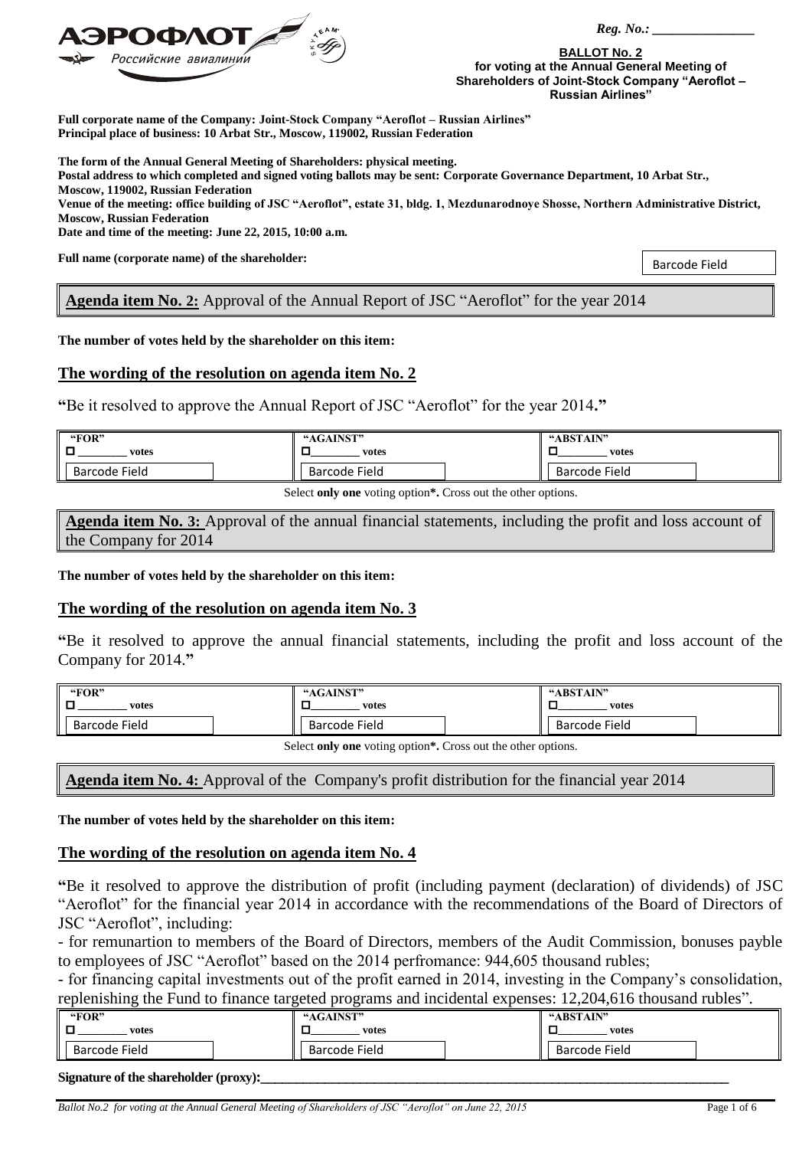

**BALLOT No. 2 for voting at the Annual General Meeting of Shareholders of Joint-Stock Company "Aeroflot – Russian Airlines"**

**Full corporate name of the Company: Joint-Stock Company "Aeroflot – Russian Airlines" Principal place of business: 10 Arbat Str., Moscow, 119002, Russian Federation**

**The form of the Annual General Meeting of Shareholders: physical meeting.**

**Postal address to which completed and signed voting ballots may be sent: Corporate Governance Department, 10 Arbat Str., Moscow, 119002, Russian Federation**

**Venue of the meeting: office building of JSC "Aeroflot", estate 31, bldg. 1, Mezdunarodnoye Shosse, Northern Administrative District, Moscow, Russian Federation**

**Date and time of the meeting: June 22, 2015, 10:00 a.m.**

**Full name (corporate name) of the shareholder:**

Barcode Field

**Agenda item No. 2:** Approval of the Annual Report of JSC "Aeroflot" for the year 2014

**The number of votes held by the shareholder on this item:**

# **The wording of the resolution on agenda item No. 2**

**"**Be it resolved to approve the Annual Report of JSC "Aeroflot" for the year 2014**."**

| "FOR"<br>votes                                                | "AGAINST"<br>votes | "ABSTAIN"<br>votes |
|---------------------------------------------------------------|--------------------|--------------------|
| Barcode Field                                                 | Barcode Field      | Barcode Field      |
| Colock and readerships continue Corona and the other continue |                    |                    |

Select **only one** voting option**\*.** Cross out the other options.

**Agenda item No. 3:** Approval of the annual financial statements, including the profit and loss account of the Company for 2014

**The number of votes held by the shareholder on this item:**

# **The wording of the resolution on agenda item No. 3**

**"**Be it resolved to approve the annual financial statements, including the profit and loss account of the Company for 2014.**"**

| "FOR"         | "AGAINST"            | "ABSTAIN"     |
|---------------|----------------------|---------------|
| votes         | votes                | votes         |
| Barcode Field | <b>Barcode Field</b> | Barcode Field |

Select **only one** voting option**\*.** Cross out the other options.

**Agenda item No. 4:** Approval of the Company's profit distribution for the financial year 2014

**The number of votes held by the shareholder on this item:**

# **The wording of the resolution on agenda item No. 4**

**"**Be it resolved to approve the distribution of profit (including payment (declaration) of dividends) of JSC "Aeroflot" for the financial year 2014 in accordance with the recommendations of the Board of Directors of JSC "Aeroflot", including:

- for remunartion to members of the Board of Directors, members of the Audit Commission, bonuses payble to employees of JSC "Aeroflot" based on the 2014 perfromance: 944,605 thousand rubles;

- for financing capital investments out of the profit earned in 2014, investing in the Company's consolidation, replenishing the Fund to finance targeted programs and incidental expenses: 12,204,616 thousand rubles".

| "FOR"         | "AGAINST"     | "ABSTAIN"     |
|---------------|---------------|---------------|
| votes         | votes         | votes         |
| Barcode Field | Barcode Field | Barcode Field |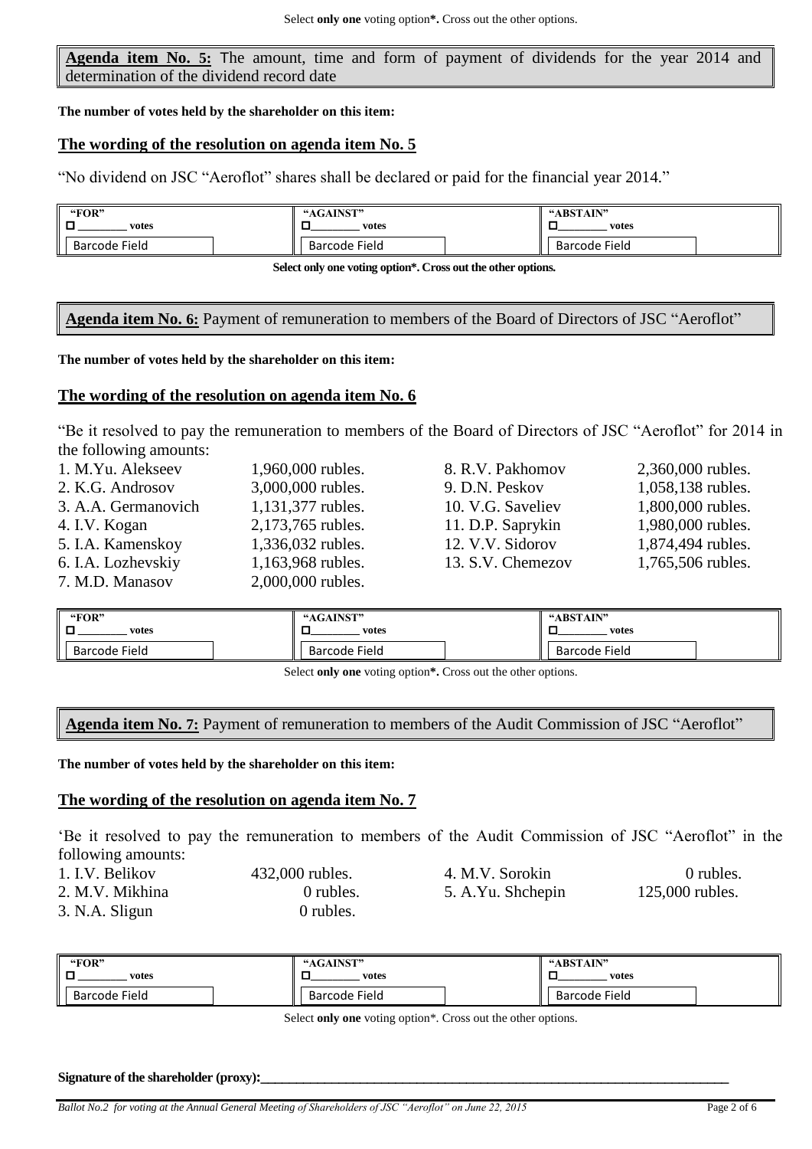**Agenda item No. 5:** The amount, time and form of payment of dividends for the year 2014 and determination of the dividend record date

**The number of votes held by the shareholder on this item:**

## **The wording of the resolution on agenda item No. 5**

"No dividend on JSC "Aeroflot" shares shall be declared or paid for the financial year 2014."

| "FOR"                | "AGAINST"            | "ABSTAIN"     |
|----------------------|----------------------|---------------|
| votes                | votes                | votes         |
| <b>Barcode Field</b> | <b>Barcode Field</b> | Barcode Field |

**Select only one voting option\*. Cross out the other options.**

**Agenda item No. 6:** Payment of remuneration to members of the Board of Directors of JSC "Aeroflot"

**The number of votes held by the shareholder on this item:**

## **The wording of the resolution on agenda item No. 6**

"Be it resolved to pay the remuneration to members of the Board of Directors of JSC "Aeroflot" for 2014 in the following amounts:

| 1. M.Yu. Alekseev   | 1,960,000 rubles. | 8. R.V. Pakhomov  | 2,360,000 rubles. |
|---------------------|-------------------|-------------------|-------------------|
| 2. K.G. Androsov    | 3,000,000 rubles. | 9. D.N. Peskov    | 1,058,138 rubles. |
| 3. A.A. Germanovich | 1,131,377 rubles. | 10. V.G. Saveliev | 1,800,000 rubles. |
| 4. I.V. Kogan       | 2,173,765 rubles. | 11. D.P. Saprykin | 1,980,000 rubles. |
| 5. I.A. Kamenskoy   | 1,336,032 rubles. | 12. V.V. Sidorov  | 1,874,494 rubles. |
| 6. I.A. Lozhevskiy  | 1,163,968 rubles. | 13. S.V. Chemezov | 1,765,506 rubles. |
| 7. M.D. Manasov     | 2,000,000 rubles. |                   |                   |

| "FOR"         | "AGAINST"     | "ABSTAIN"     |
|---------------|---------------|---------------|
| votes         | votes         | votes         |
| Barcode Field | Barcode Field | Barcode Field |

Select **only one** voting option**\*.** Cross out the other options.

# **Agenda item No. 7:** Payment of remuneration to members of the Audit Commission of JSC "Aeroflot"

**The number of votes held by the shareholder on this item:**

### **The wording of the resolution on agenda item No. 7**

'Be it resolved to pay the remuneration to members of the Audit Commission of JSC "Aeroflot" in the following amounts:

| 1. I.V. Belikov | $432,000$ rubles. | 4. M.V. Sorokin   | 0 rubles.         |
|-----------------|-------------------|-------------------|-------------------|
| 2. M.V. Mikhina | $0$ rubles.       | 5. A.Yu. Shchepin | $125,000$ rubles. |
| 3. N.A. Sligun  | 0 rubles.         |                   |                   |

| "FOR"         | "AGAINST"            | "ABSTAIN"     |
|---------------|----------------------|---------------|
| votes         | votes                | votes         |
| Barcode Field | <b>Barcode Field</b> | Barcode Field |

Select **only one** voting option\*. Cross out the other options.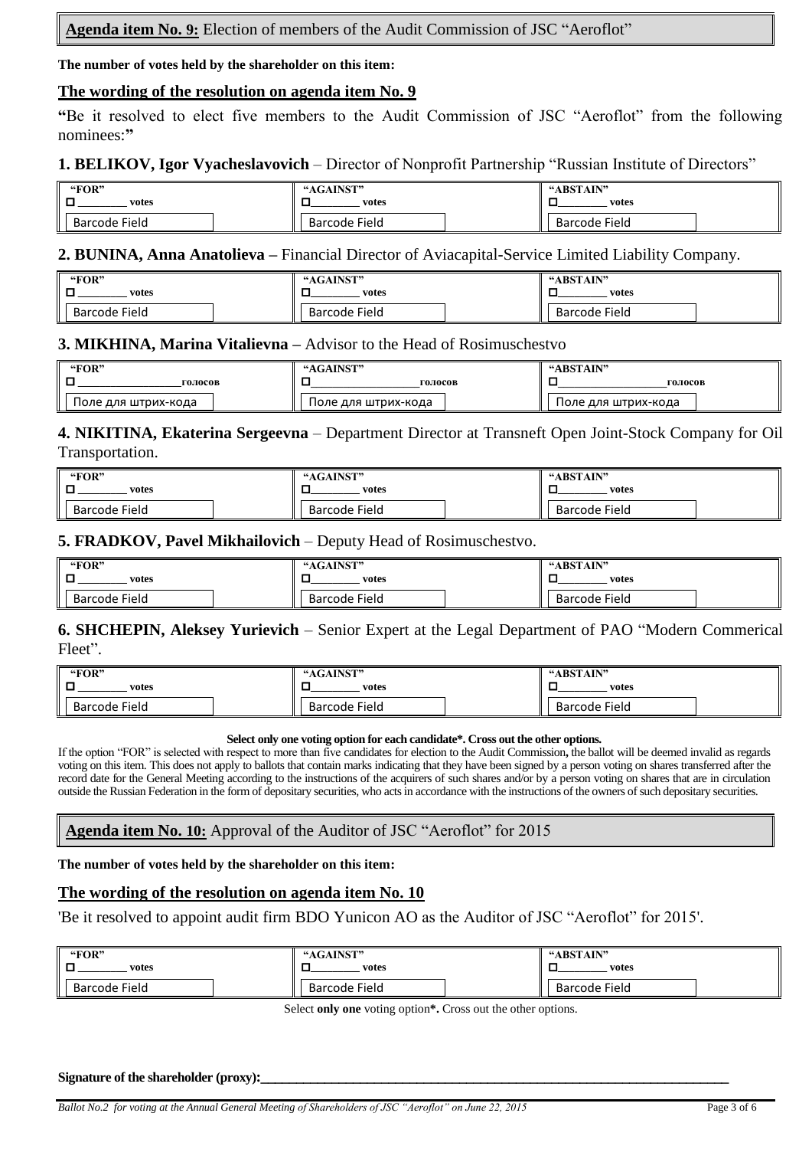## **Agenda item No. 9:** Election of members of the Audit Commission of JSC "Aeroflot"

#### **The number of votes held by the shareholder on this item:**

## **The wording of the resolution on agenda item No. 9**

**"**Be it resolved to elect five members to the Audit Commission of JSC "Aeroflot" from the following nominees:**"**

### **1. BELIKOV, Igor Vyacheslavovich** – Director of Nonprofit Partnership "Russian Institute of Directors"

| "FOR"         | "AGAINST"     | "ABSTAIN"            |
|---------------|---------------|----------------------|
| votes         | votes         | votes                |
| Barcode Field | Barcode Field | <b>Barcode Field</b> |

### **2. BUNINA, Anna Anatolieva –** Financial Director of Aviacapital-Service Limited Liability Company.

| "FOR"         | "AGAINST"     | "ABSTAIN"            |
|---------------|---------------|----------------------|
| votes         | votes         | votes                |
| Barcode Field | Barcode Field | <b>Barcode Field</b> |

## **3. MIKHINA, Marina Vitalievna –** Advisor to the Head of Rosimuschestvo

| "FOR"               | "AGAINST"           | "ABSTAIN"           |
|---------------------|---------------------|---------------------|
| голосов             | голосов             | голосов             |
| Поле для штрих-кода | Поле для штрих-кода | Поле для штрих-кода |

# **4. NIKITINA, Ekaterina Sergeevna** – Department Director at Transneft Open Joint-Stock Company for Oil Transportation.

| "FOR"         | "AGAINST"     | "ABSTAIN"            |
|---------------|---------------|----------------------|
| votes         | votes         | votes                |
| Barcode Field | Barcode Field | <b>Barcode Field</b> |

### **5. FRADKOV, Pavel Mikhailovich** – Deputy Head of Rosimuschestvo.

| "FOR"         | "AGAINST"     | "ABSTAIN"     |
|---------------|---------------|---------------|
| votes         | votes         | votes         |
| Barcode Field | Barcode Field | Barcode Field |

# **6. SHCHEPIN, Aleksey Yurievich** – Senior Expert at the Legal Department of PAO "Modern Commerical Fleet".

| "FOR"         | "AGAINST"     | "ABSTAIN"            |
|---------------|---------------|----------------------|
| votes         | votes         | votes                |
| Barcode Field | Barcode Field | <b>Barcode Field</b> |

#### **Select only one voting option for each candidate\*. Cross out the other options.**

If the option "FOR" is selected with respect to more than five candidates for election to the Audit Commission**,** the ballot will be deemed invalid as regards voting on this item. This does not apply to ballots that contain marks indicating that they have been signed by a person voting on shares transferred after the record date for the General Meeting according to the instructions of the acquirers of such shares and/or by a person voting on shares that are in circulation outside the Russian Federation in the form of depositary securities, who acts in accordance with the instructions of the owners ofsuch depositary securities.

# **Agenda item No. 10:** Approval of the Auditor of JSC "Aeroflot" for 2015

### **The number of votes held by the shareholder on this item:**

### **The wording of the resolution on agenda item No. 10**

'Be it resolved to appoint audit firm BDO Yunicon AO as the Auditor of JSC "Aeroflot" for 2015'.

| "FOR"         | "AGAINST"     | "ABSTAIN"     |
|---------------|---------------|---------------|
| votes         | votes         | votes         |
| Barcode Field | Barcode Field | Barcode Field |

Select **only one** voting option**\*.** Cross out the other options.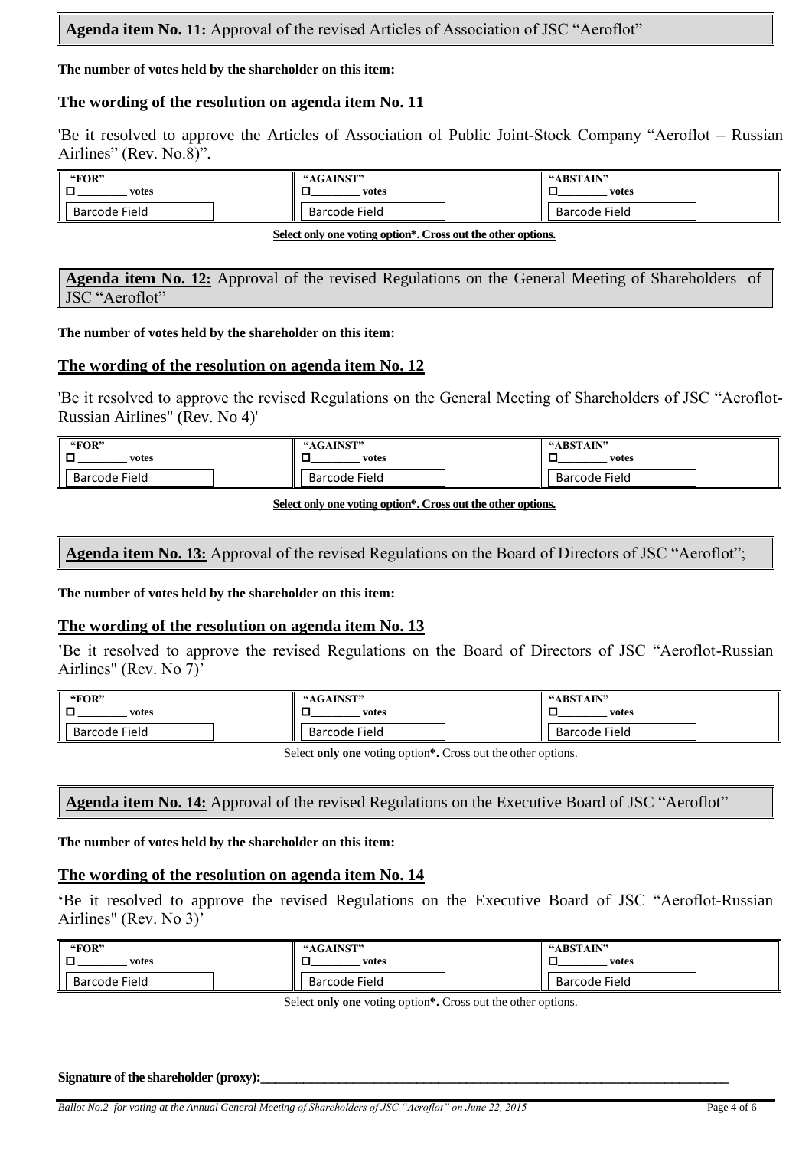### **The number of votes held by the shareholder on this item:**

# **The wording of the resolution on agenda item No. 11**

'Be it resolved to approve the Articles of Association of Public Joint-Stock Company "Aeroflot – Russian Airlines" (Rev. No.8)".

| "FOR"         | "AGAINST"            | "ABSTAIN"            |
|---------------|----------------------|----------------------|
| votes         | votes                | votes                |
| Barcode Field | <b>Barcode Field</b> | <b>Barcode Field</b> |

**Select only one voting option\*. Cross out the other options.**

**Agenda item No. 12:** Approval of the revised Regulations on the General Meeting of Shareholders of JSC "Aeroflot"

**The number of votes held by the shareholder on this item:**

# **The wording of the resolution on agenda item No. 12**

'Be it resolved to approve the revised Regulations on the General Meeting of Shareholders of JSC "Aeroflot-Russian Airlines" (Rev. No 4)'

| "FOR"         | "AGAINST"     | "ABSTAIN"     |
|---------------|---------------|---------------|
| votes         | votes         | votes         |
| Barcode Field | Barcode Field | Barcode Field |

**Select only one voting option\*. Cross out the other options.**

**Agenda item No. 13:** Approval of the revised Regulations on the Board of Directors of JSC "Aeroflot";

**The number of votes held by the shareholder on this item:**

# **The wording of the resolution on agenda item No. 13**

**'**Be it resolved to approve the revised Regulations on the Board of Directors of JSC "Aeroflot-Russian Airlines" (Rev. No 7)'

| "FOR"         | "AGAINST"     | "ABSTAIN"     |
|---------------|---------------|---------------|
| votes         | votes         | votes         |
| Barcode Field | Barcode Field | Barcode Field |

Select **only one** voting option**\*.** Cross out the other options.

**Agenda item No. 14:** Approval of the revised Regulations on the Executive Board of JSC "Aeroflot"

**The number of votes held by the shareholder on this item:**

# **The wording of the resolution on agenda item No. 14**

**'**Be it resolved to approve the revised Regulations on the Executive Board of JSC "Aeroflot-Russian Airlines" (Rev. No 3)'

| "FOR"                | "AGAINST"            | "ABSTAIN"            |
|----------------------|----------------------|----------------------|
| votes                | votes                | votes                |
| <b>Barcode Field</b> | <b>Barcode Field</b> | <b>Barcode Field</b> |

Select **only one** voting option**\*.** Cross out the other options.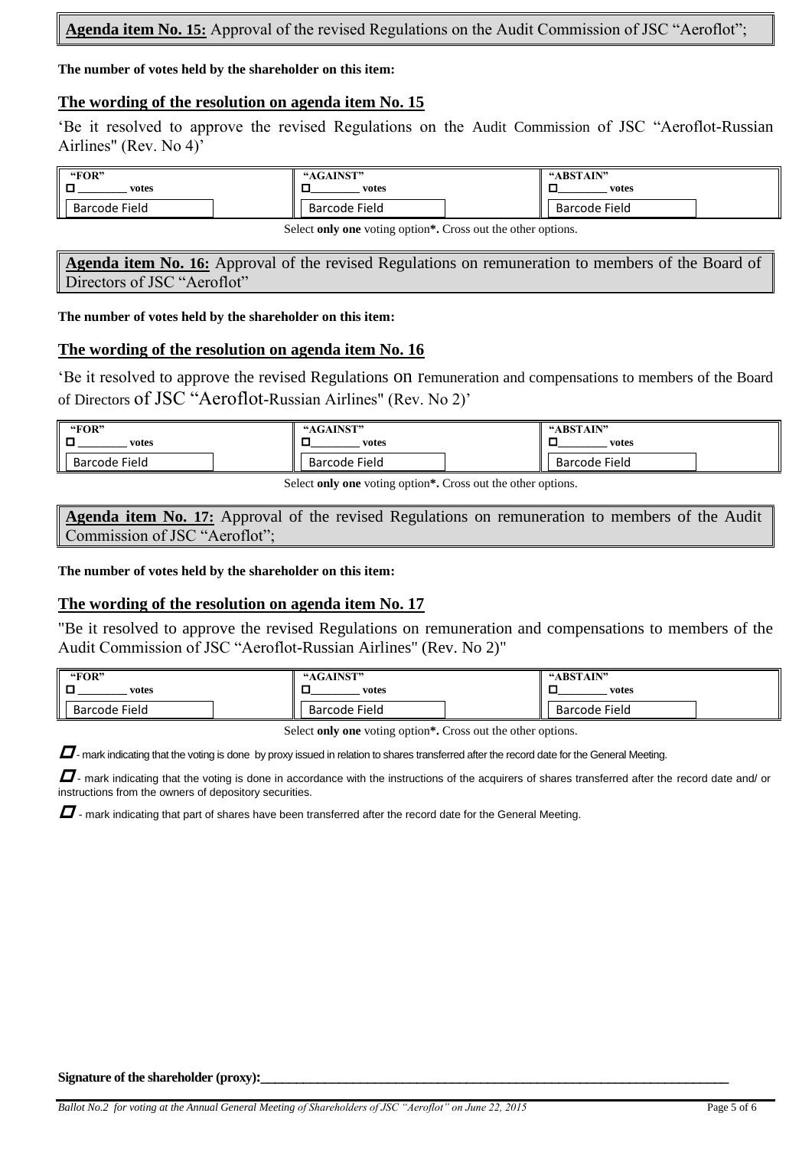### **The number of votes held by the shareholder on this item:**

# **The wording of the resolution on agenda item No. 15**

'Be it resolved to approve the revised Regulations on the Audit Commission of JSC "Aeroflot-Russian Airlines" (Rev. No 4)'

| "FOR"<br>E<br>votes | "AGAINST"<br>votes   | "ABSTAIN"<br>votes |
|---------------------|----------------------|--------------------|
| Barcode Field       | <b>Barcode Field</b> | Barcode Field      |

Select **only one** voting option**\*.** Cross out the other options.

**Agenda item No. 16:** Approval of the revised Regulations on remuneration to members of the Board of Directors of JSC "Aeroflot"

#### **The number of votes held by the shareholder on this item:**

### **The wording of the resolution on agenda item No. 16**

'Be it resolved to approve the revised Regulations on remuneration and compensations to members of the Board of Directors of JSC "Aeroflot-Russian Airlines" (Rev. No 2)'

| "FOR"         | "AGAINST"     | "ABSTAIN"     |
|---------------|---------------|---------------|
| votes         | votes         | votes         |
| Barcode Field | Barcode Field | Barcode Field |

Select **only one** voting option**\*.** Cross out the other options.

**Agenda item No. 17:** Approval of the revised Regulations on remuneration to members of the Audit Commission of JSC "Aeroflot";

**The number of votes held by the shareholder on this item:**

# **The wording of the resolution on agenda item No. 17**

"Be it resolved to approve the revised Regulations on remuneration and compensations to members of the Audit Commission of JSC "Aeroflot-Russian Airlines" (Rev. No 2)"

| "FOR"         | "AGAINST"     | "ABSTAIN"            |
|---------------|---------------|----------------------|
| votes         | votes         | votes                |
| Barcode Field | Barcode Field | <b>Barcode Field</b> |

Select **only one** voting option**\*.** Cross out the other options.

 $\Box$  - mark indicating that the voting is done by proxy issued in relation to shares transferred after the record date for the General Meeting.

 $\Box$  - mark indicating that the voting is done in accordance with the instructions of the acquirers of shares transferred after the record date and/ or instructions from the owners of depository securities.

 $\Box$  - mark indicating that part of shares have been transferred after the record date for the General Meeting.